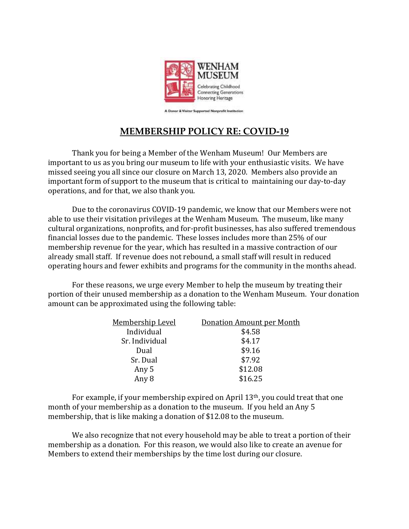

A Donor & Visitor Supported Nonprofit Institution

## **MEMBERSHIP POLICY RE: COVID-19**

Thank you for being a Member of the Wenham Museum! Our Members are important to us as you bring our museum to life with your enthusiastic visits. We have missed seeing you all since our closure on March 13, 2020. Members also provide an important form of support to the museum that is critical to maintaining our day-to-day operations, and for that, we also thank you.

Due to the coronavirus COVID-19 pandemic, we know that our Members were not able to use their visitation privileges at the Wenham Museum. The museum, like many cultural organizations, nonprofits, and for-profit businesses, has also suffered tremendous financial losses due to the pandemic. These losses includes more than 25% of our membership revenue for the year, which has resulted in a massive contraction of our already small staff. If revenue does not rebound, a small staff will result in reduced operating hours and fewer exhibits and programs for the community in the months ahead.

For these reasons, we urge every Member to help the museum by treating their portion of their unused membership as a donation to the Wenham Museum. Your donation amount can be approximated using the following table:

| <u>Membership Level</u> | Donation Amount per Month |
|-------------------------|---------------------------|
| Individual              | \$4.58                    |
| Sr. Individual          | \$4.17                    |
| Dual                    | \$9.16                    |
| Sr. Dual                | \$7.92                    |
| Any 5                   | \$12.08                   |
| Any 8                   | \$16.25                   |

For example, if your membership expired on April 13th, you could treat that one month of your membership as a donation to the museum. If you held an Any 5 membership, that is like making a donation of \$12.08 to the museum.

We also recognize that not every household may be able to treat a portion of their membership as a donation. For this reason, we would also like to create an avenue for Members to extend their memberships by the time lost during our closure.